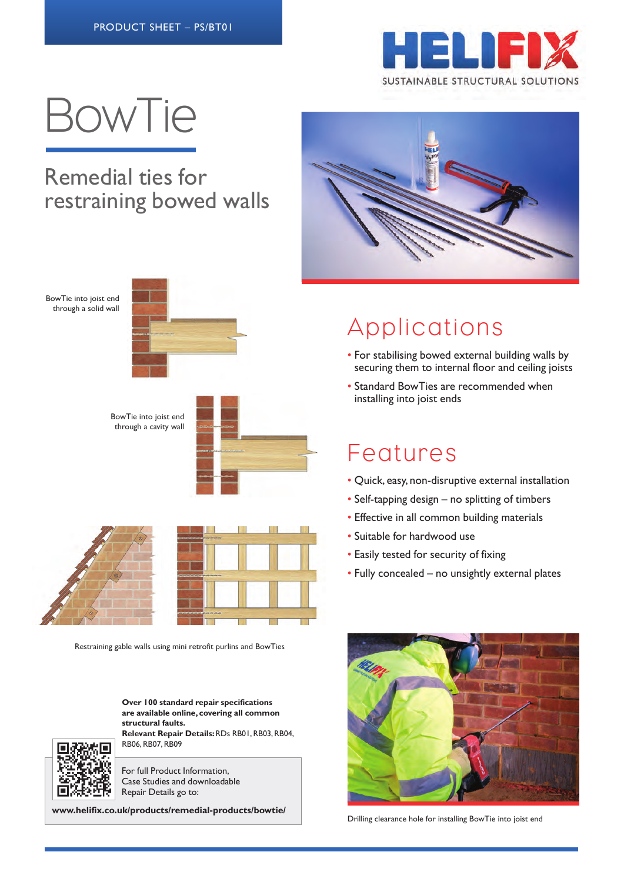

# BowTie

#### Remedial ties for restraining bowed walls

BowTie into joist end through a solid wall



BowTie into joist end through a cavity wall





Restraining gable walls using mini retrofit purlins and BowTies

**Over 100 standard repair specifications are available online, covering all common structural faults.**

**Relevant Repair Details:** RDs RB01, RB03, RB04, RB06, RB07, RB09



For full Product Information, Case Studies and downloadable Repair Details go to:

**www.helifix.co.uk/products/remedial-products/bowtie/**



# Applications

- For stabilising bowed external building walls by securing them to internal floor and ceiling joists
- Standard BowTies are recommended when installing into joist ends

## **Features**

- Quick, easy, non-disruptive external installation
- Self-tapping design no splitting of timbers
- Effective in all common building materials
- Suitable for hardwood use
- Easily tested for security of fixing
- Fully concealed no unsightly external plates



Drilling clearance hole for installing BowTie into joist end